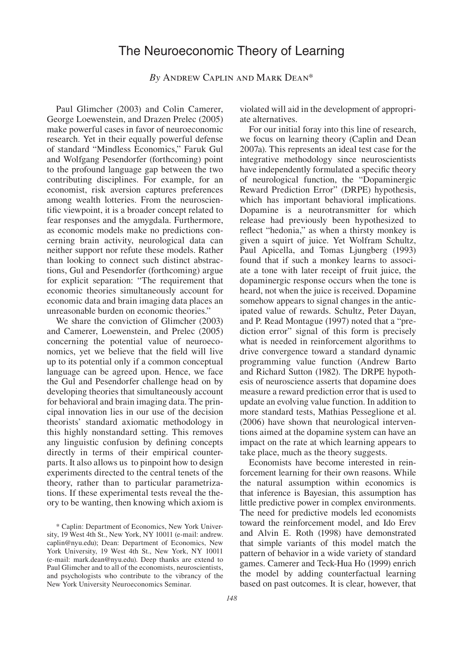## *By* Andrew Caplin and Mark Dean\*

Paul Glimcher (2003) and Colin Camerer, George Loewenstein, and Drazen Prelec (2005) make powerful cases in favor of neuroeconomic research. Yet in their equally powerful defense of standard "Mindless Economics," Faruk Gul and Wolfgang Pesendorfer (forthcoming) point to the profound language gap between the two contributing disciplines. For example, for an economist, risk aversion captures preferences among wealth lotteries. From the neuroscientific viewpoint, it is a broader concept related to fear responses and the amygdala. Furthermore, as economic models make no predictions concerning brain activity, neurological data can neither support nor refute these models. Rather than looking to connect such distinct abstractions, Gul and Pesendorfer (forthcoming) argue for explicit separation: "The requirement that economic theories simultaneously account for economic data and brain imaging data places an unreasonable burden on economic theories."

We share the conviction of Glimcher (2003) and Camerer, Loewenstein, and Prelec (2005) concerning the potential value of neuroeconomics, yet we believe that the field will live up to its potential only if a common conceptual language can be agreed upon. Hence, we face the Gul and Pesendorfer challenge head on by developing theories that simultaneously account for behavioral and brain imaging data. The principal innovation lies in our use of the decision theorists' standard axiomatic methodology in this highly nonstandard setting. This removes any linguistic confusion by defining concepts directly in terms of their empirical counterparts. It also allows us to pinpoint how to design experiments directed to the central tenets of the theory, rather than to particular parametrizations. If these experimental tests reveal the theory to be wanting, then knowing which axiom is

violated will aid in the development of appropriate alternatives.

For our initial foray into this line of research, we focus on learning theory (Caplin and Dean 2007a). This represents an ideal test case for the integrative methodology since neuroscientists have independently formulated a specific theory of neurological function, the "Dopaminergic Reward Prediction Error" (DRPE) hypothesis, which has important behavioral implications. Dopamine is a neurotransmitter for which release had previously been hypothesized to reflect "hedonia," as when a thirsty monkey is given a squirt of juice. Yet Wolfram Schultz, Paul Apicella, and Tomas Ljungberg (1993) found that if such a monkey learns to associate a tone with later receipt of fruit juice, the dopaminergic response occurs when the tone is heard, not when the juice is received. Dopamine somehow appears to signal changes in the anticipated value of rewards. Schultz, Peter Dayan, and P. Read Montague (1997) noted that a "prediction error" signal of this form is precisely what is needed in reinforcement algorithms to drive convergence toward a standard dynamic programming value function (Andrew Barto and Richard Sutton (1982). The DRPE hypothesis of neuroscience asserts that dopamine does measure a reward prediction error that is used to update an evolving value function. In addition to more standard tests, Mathias Pesseglione et al. (2006) have shown that neurological interventions aimed at the dopamine system can have an impact on the rate at which learning appears to take place, much as the theory suggests.

Economists have become interested in reinforcement learning for their own reasons. While the natural assumption within economics is that inference is Bayesian, this assumption has little predictive power in complex environments. The need for predictive models led economists toward the reinforcement model, and Ido Erev and Alvin E. Roth (1998) have demonstrated that simple variants of this model match the pattern of behavior in a wide variety of standard games. Camerer and Teck-Hua Ho (1999) enrich the model by adding counterfactual learning based on past outcomes. It is clear, however, that

<sup>\*</sup> Caplin: Department of Economics, New York University, 19 West 4th St., New York, NY 10011 (e-mail: andrew. caplin@nyu.edu); Dean: Department of Economics, New York University, 19 West 4th St., New York, NY 10011 (e-mail: mark.dean@nyu.edu). Deep thanks are extend to Paul Glimcher and to all of the economists, neuroscientists, and psychologists who contribute to the vibrancy of the New York University Neuroeconomics Seminar.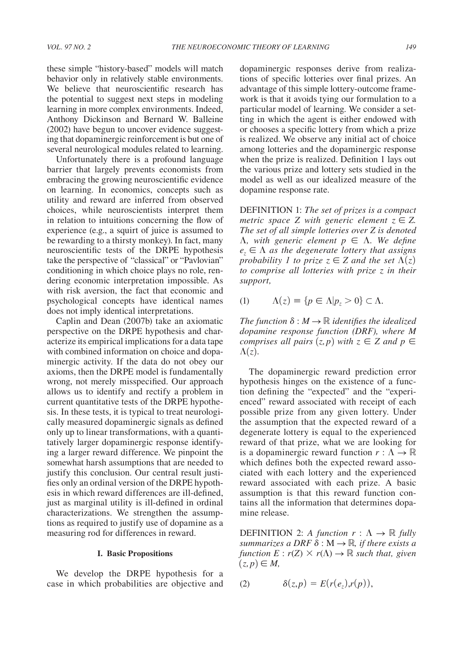these simple "history-based" models will match behavior only in relatively stable environments. We believe that neuroscientific research has the potential to suggest next steps in modeling learning in more complex environments. Indeed, Anthony Dickinson and Bernard W. Balleine (2002) have begun to uncover evidence suggesting that dopaminergic reinforcement is but one of several neurological modules related to learning.

Unfortunately there is a profound language barrier that largely prevents economists from embracing the growing neuroscientific evidence on learning. In economics, concepts such as utility and reward are inferred from observed choices, while neuroscientists interpret them in relation to intuitions concerning the flow of experience (e.g., a squirt of juice is assumed to be rewarding to a thirsty monkey). In fact, many neuroscientific tests of the DRPE hypothesis take the perspective of "classical" or "Pavlovian" conditioning in which choice plays no role, rendering economic interpretation impossible. As with risk aversion, the fact that economic and psychological concepts have identical names does not imply identical interpretations.

Caplin and Dean (2007b) take an axiomatic perspective on the DRPE hypothesis and characterize its empirical implications for a data tape with combined information on choice and dopaminergic activity. If the data do not obey our axioms, then the DRPE model is fundamentally wrong, not merely misspecified. Our approach allows us to identify and rectify a problem in current quantitative tests of the DRPE hypothesis. In these tests, it is typical to treat neurologically measured dopaminergic signals as defined only up to linear transformations, with a quantitatively larger dopaminergic response identifying a larger reward difference. We pinpoint the somewhat harsh assumptions that are needed to justify this conclusion. Our central result justifies only an ordinal version of the DRPE hypothesis in which reward differences are ill-defined, just as marginal utility is ill-defined in ordinal characterizations. We strengthen the assumptions as required to justify use of dopamine as a measuring rod for differences in reward.

### **I. Basic Propositions**

We develop the DRPE hypothesis for a case in which probabilities are objective and

dopaminergic responses derive from realizations of specific lotteries over final prizes. An advantage of this simple lottery-outcome framework is that it avoids tying our formulation to a particular model of learning. We consider a setting in which the agent is either endowed with or chooses a specific lottery from which a prize is realized. We observe any initial act of choice among lotteries and the dopaminergic response when the prize is realized. Definition 1 lays out the various prize and lottery sets studied in the model as well as our idealized measure of the dopamine response rate.

Definition 1: *The set of prizes is a compact metric space Z* with generic element  $z \in Z$ *. The set of all simple lotteries over Z is denoted*   $\Lambda$ *, with generic element*  $p \in \Lambda$ *. We define*  $e<sub>z</sub> \in \Lambda$  *as the degenerate lottery that assigns probability 1 to prize*  $z \in Z$  *and the set*  $\Lambda(z)$ *to comprise all lotteries with prize z in their support,*

$$
(1) \qquad \Lambda(z) \equiv \{ p \in \Lambda | p_z > 0 \} \subset \Lambda.
$$

*The function*  $\delta : M \to \mathbb{R}$  *identifies the idealized dopamine response function (DRF), where M comprises all pairs*  $(z, p)$  *with*  $z \in \mathbb{Z}$  *and*  $p \in \mathbb{Z}$  $\Lambda(z)$ .

The dopaminergic reward prediction error hypothesis hinges on the existence of a function defining the "expected" and the "experienced" reward associated with receipt of each possible prize from any given lottery. Under the assumption that the expected reward of a degenerate lottery is equal to the experienced reward of that prize, what we are looking for is a dopaminergic reward function  $r : \Lambda \to \mathbb{R}$ which defines both the expected reward associated with each lottery and the experienced reward associated with each prize. A basic assumption is that this reward function contains all the information that determines dopamine release.

DEFINITION 2: *A function*  $r : \Lambda \to \mathbb{R}$  *fully summarizes a DRF*  $\delta$  :  $M \rightarrow \mathbb{R}$ *, if there exists a function*  $E: r(Z) \times r(\Lambda) \rightarrow \mathbb{R}$  *such that, given*  $(z, p) \in M$ ,

$$
(2) \qquad \delta(z,p) = E(r(e_z),r(p)),
$$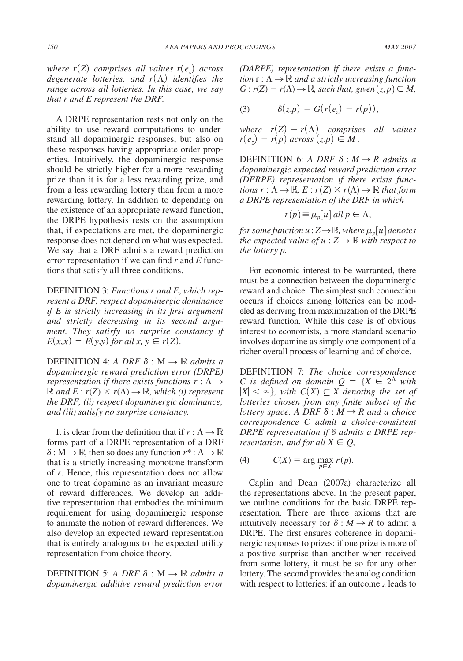*where*  $r(Z)$  *comprises all values*  $r(e_z)$  *across degenerate lotteries, and*  $r(\Lambda)$  *identifies the range across all lotteries. In this case, we say that r and E represent the DRF.*

A DRPE representation rests not only on the ability to use reward computations to understand all dopaminergic responses, but also on these responses having appropriate order properties. Intuitively, the dopaminergic response should be strictly higher for a more rewarding prize than it is for a less rewarding prize, and from a less rewarding lottery than from a more rewarding lottery. In addition to depending on the existence of an appropriate reward function, the DRPE hypothesis rests on the assumption that, if expectations are met, the dopaminergic response does not depend on what was expected. We say that a DRF admits a reward prediction error representation if we can find *r* and *E* functions that satisfy all three conditions.

DEFINITION 3: *Functions r and E*, which rep*resent a DRF*, *respect dopaminergic dominance if E is strictly increasing in its first argument and strictly decreasing in its second argument. They satisfy no surprise constancy if*   $E(x,x) = E(y,y)$  for all  $x, y \in r(Z)$ .

DEFINITION 4: *A DRF*  $\delta$  : **M**  $\rightarrow \mathbb{R}$  *admits a dopaminergic reward prediction error (DRPE) representation if there exists functions*  $r : \Lambda \rightarrow$  $\mathbb{R}$  and  $E: r(Z) \times r(\Lambda) \rightarrow \mathbb{R}$ , which (i) represent *the DRF; (ii) respect dopaminergic dominance; and (iii) satisfy no surprise constancy.*

It is clear from the definition that if  $r : \Lambda \to \mathbb{R}$ forms part of a DRPE representation of a DRF  $\delta : M \to \mathbb{R}$ , then so does any function  $r^* : \Lambda \to \mathbb{R}$ that is a strictly increasing monotone transform of *r*. Hence, this representation does not allow one to treat dopamine as an invariant measure of reward differences. We develop an additive representation that embodies the minimum requirement for using dopaminergic response to animate the notion of reward differences. We also develop an expected reward representation that is entirely analogous to the expected utility representation from choice theory.

DEFINITION 5: *A DRF*  $\delta$  : **M**  $\rightarrow \mathbb{R}$  *admits a dopaminergic additive reward prediction error*  *(DARPE) representation if there exists a function*  $r : \Lambda \rightarrow \mathbb{R}$  *and a strictly increasing function*  $G: r(Z) - r(\Lambda) \rightarrow \mathbb{R}$ , such that, given  $(z, p) \in M$ ,

$$
(3) \qquad \delta(z,p) = G(r(e_z) - r(p)),
$$

*where*  $r(Z) - r(\Lambda)$  *comprises all values*  $r(e_z) - r(p)$  across  $(z, p) \in M$ .

DEFINITION 6: *A DRF*  $\delta$  : *M*  $\rightarrow$  *R admits a dopaminergic expected reward prediction error (DERPE) representation if there exists functions*  $r : \Lambda \to \mathbb{R}, E : r(Z) \times r(\Lambda) \to \mathbb{R}$  that form *a DRPE representation of the DRF in which*

$$
r(p) \equiv \mu_p[u] \text{ all } p \in \Lambda,
$$

*for some function*  $u : Z \rightarrow \mathbb{R}$ *, where*  $\mu_p[u]$  *denotes the expected value of*  $u : Z \to \mathbb{R}$  *with respect to the lottery p.*

For economic interest to be warranted, there must be a connection between the dopaminergic reward and choice. The simplest such connection occurs if choices among lotteries can be modeled as deriving from maximization of the DRPE reward function. While this case is of obvious interest to economists, a more standard scenario involves dopamine as simply one component of a richer overall process of learning and of choice.

Definition 7: *The choice correspondence C* is defined on domain  $Q = {X \in 2^{\Lambda}}$  with  $|X| < \infty$ <sup>2</sup>, with  $C(X) \subseteq X$  *denoting the set of lotteries chosen from any finite subset of the lottery space.* A DRF  $\delta$  :  $M \rightarrow R$  and a choice *correspondence C admit a choice-consistent*  DRPE representation if δ admits a DRPE rep*resentation, and for all*  $X \in Q$ *,* 

(4) 
$$
C(X) = \arg \max_{p \in X} r(p).
$$

Caplin and Dean (2007a) characterize all the representations above. In the present paper, we outline conditions for the basic DRPE representation. There are three axioms that are intuitively necessary for  $\delta : M \to R$  to admit a DRPE. The first ensures coherence in dopaminergic responses to prizes: if one prize is more of a positive surprise than another when received from some lottery, it must be so for any other lottery. The second provides the analog condition with respect to lotteries: if an outcome *z* leads to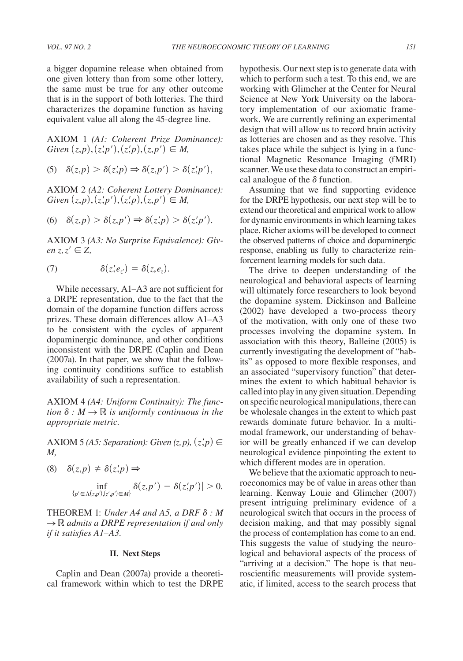a bigger dopamine release when obtained from one given lottery than from some other lottery, the same must be true for any other outcome that is in the support of both lotteries. The third characterizes the dopamine function as having equivalent value all along the 45-degree line.

Axiom 1 *(A1: Coherent Prize Dominance): Given*  $(z, p), (z, p'), (z, p), (z, p') \in M$ ,

$$
(5) \quad \delta(z,p) > \delta(z,p) \Rightarrow \delta(z,p') > \delta(z,p'),
$$

Axiom 2 *(A2: Coherent Lottery Dominance): Given*  $(z, p), (z, p'), (z, p), (z, p') \in M$ ,

$$
(6) \quad \delta(z,p) > \delta(z,p') \Rightarrow \delta(z,p) > \delta(z,p').
$$

Axiom 3 *(A3: No Surprise Equivalence): Given*  $z, z' \in Z$ ,

(7) 
$$
\delta(z'e_{z'}) = \delta(z,e_z).
$$

While necessary, A1–A3 are not sufficient for a DRPE representation, due to the fact that the domain of the dopamine function differs across prizes. These domain differences allow A1–A3 to be consistent with the cycles of apparent dopaminergic dominance, and other conditions inconsistent with the DRPE (Caplin and Dean (2007a). In that paper, we show that the following continuity conditions suffice to establish availability of such a representation.

Axiom 4 *(A4: Uniform Continuity): The function*  $\delta$  *:*  $M \rightarrow \mathbb{R}$  *is uniformly continuous in the appropriate metric.*

AXIOM 5 *(A5: Separation): Given*  $(z, p)$ *,*  $(z, p) \in$ *M,*

(8) 
$$
\delta(z,p) \neq \delta(z,p) \Rightarrow
$$

$$
\inf_{\{p' \in \Lambda(\langle z,p'), (z',p') \in M\}} |\delta(z,p') - \delta(z,p')| > 0.
$$

Theorem 1: *Under A4 and A5, a DRF* d *: M*  $\rightarrow \mathbb{R}$  *admits a DRPE representation if and only if it satisfies A1–A3.*

## **II. Next Steps**

Caplin and Dean (2007a) provide a theoretical framework within which to test the DRPE hypothesis. Our next step is to generate data with which to perform such a test. To this end, we are working with Glimcher at the Center for Neural Science at New York University on the laboratory implementation of our axiomatic framework. We are currently refining an experimental design that will allow us to record brain activity as lotteries are chosen and as they resolve. This takes place while the subject is lying in a functional Magnetic Resonance Imaging (fMRI) scanner. We use these data to construct an empirical analogue of the  $\delta$  function.

Assuming that we find supporting evidence for the DRPE hypothesis, our next step will be to extend our theoretical and empirical work to allow for dynamic environments in which learning takes place. Richer axioms will be developed to connect the observed patterns of choice and dopaminergic response, enabling us fully to characterize reinforcement learning models for such data.

The drive to deepen understanding of the neurological and behavioral aspects of learning will ultimately force researchers to look beyond the dopamine system. Dickinson and Balleine (2002) have developed a two-process theory of the motivation, with only one of these two processes involving the dopamine system. In association with this theory, Balleine (2005) is currently investigating the development of "habits" as opposed to more flexible responses, and an associated "supervisory function" that determines the extent to which habitual behavior is called into play in any given situation. Depending on specific neurological manipulations, there can be wholesale changes in the extent to which past rewards dominate future behavior. In a multimodal framework, our understanding of behavior will be greatly enhanced if we can develop neurological evidence pinpointing the extent to which different modes are in operation.

We believe that the axiomatic approach to neuroeconomics may be of value in areas other than learning. Kenway Louie and Glimcher (2007) present intriguing preliminary evidence of a neurological switch that occurs in the process of decision making, and that may possibly signal the process of contemplation has come to an end. This suggests the value of studying the neurological and behavioral aspects of the process of "arriving at a decision." The hope is that neuroscientific measurements will provide systematic, if limited, access to the search process that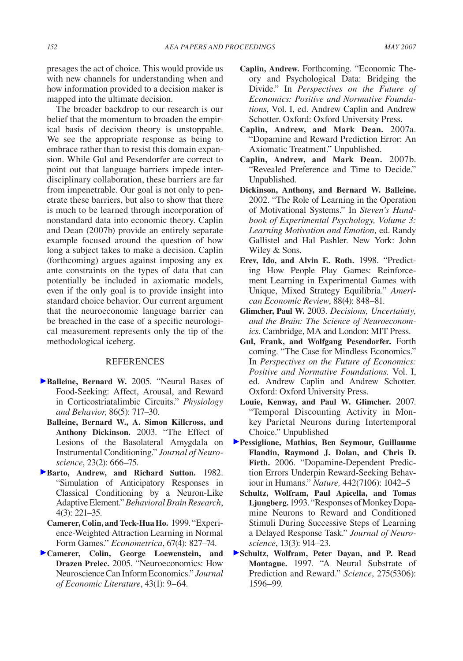presages the act of choice. This would provide us with new channels for understanding when and how information provided to a decision maker is mapped into the ultimate decision.

The broader backdrop to our research is our belief that the momentum to broaden the empirical basis of decision theory is unstoppable. We see the appropriate response as being to embrace rather than to resist this domain expansion. While Gul and Pesendorfer are correct to point out that language barriers impede interdisciplinary collaboration, these barriers are far from impenetrable. Our goal is not only to penetrate these barriers, but also to show that there is much to be learned through incorporation of nonstandard data into economic theory. Caplin and Dean (2007b) provide an entirely separate example focused around the question of how long a subject takes to make a decision. Caplin (forthcoming) argues against imposing any ex ante constraints on the types of data that can potentially be included in axiomatic models, even if the only goal is to provide insight into standard choice behavior. Our current argument that the neuroeconomic language barrier can be breached in the case of a specific neurological measurement represents only the tip of the methodological iceberg.

#### **REFERENCES**

- **Balleine, Bernard W.** 2005. "Neural Bases of Food-Seeking: Affect, Arousal, and Reward in Corticostriatalimbic Circuits." *Physiology and Behavior*, 86(5): 717–30.
	- **Balleine, Bernard W., A. Simon Killcross, and Anthony Dickinson.** 2003. "The Effect of Lesions of the Basolateral Amygdala on Instrumental Conditioning." *Journal of Neuroscience*, 23(2): 666–75.
- **Barto, Andrew, and Richard Sutton.** 1982. "Simulation of Anticipatory Responses in Classical Conditioning by a Neuron-Like Adaptive Element." *Behavioral Brain Research*, 4(3): 221–35.
	- **Camerer, Colin, andTeck-Hua Ho.** 1999. "Experience-Weighted Attraction Learning in Normal Form Games." *Econometrica*, 67(4): 827–74.
- **Camerer, Colin, George Loewenstein, and Drazen Prelec.** 2005. "Neuroeconomics: How Neuroscience Can Inform Economics." *Journal of Economic Literature*, 43(1): 9–64.
- **Caplin, Andrew.** Forthcoming. "Economic Theory and Psychological Data: Bridging the Divide." In *Perspectives on the Future of Economics: Positive and Normative Foundations*, Vol. I, ed. Andrew Caplin and Andrew Schotter. Oxford: Oxford University Press.
- **Caplin, Andrew, and Mark Dean.** 2007a. "Dopamine and Reward Prediction Error: An Axiomatic Treatment." Unpublished.
- **Caplin, Andrew, and Mark Dean.** 2007b. "Revealed Preference and Time to Decide." Unpublished.
- **Dickinson, Anthony, and Bernard W. Balleine.**  2002. "The Role of Learning in the Operation of Motivational Systems." In *Steven's Handbook of Experimental Psychology, Volume 3: Learning Motivation and Emotion,* ed. Randy Gallistel and Hal Pashler. New York: John Wiley & Sons.
- **Erev, Ido, and Alvin E. Roth.** 1998. "Predicting How People Play Games: Reinforcement Learning in Experimental Games with Unique, Mixed Strategy Equilibria." *American Economic Review*, 88(4): 848–81.
- **Glimcher, Paul W.** 2003. *Decisions, Uncertainty, and the Brain: The Science of Neuroeconomics.* Cambridge, MA and London: MIT Press.
- **Gul, Frank, and Wolfgang Pesendorfer.** Forth coming. "The Case for Mindless Economics." In *Perspectives on the Future of Economics: Positive and Normative Foundations.* Vol. I, ed. Andrew Caplin and Andrew Schotter. Oxford: Oxford University Press.
- **Louie, Kenway, and Paul W. Glimcher.** 2007. "Temporal Discounting Activity in Monkey Parietal Neurons during Intertemporal Choice." Unpublished
- **Pessiglione, Mathias, Ben Seymour, Guillaume Flandin, Raymond J. Dolan, and Chris D. Firth.** 2006. "Dopamine-Dependent Prediction Errors Underpin Reward-Seeking Behaviour in Humans." *Nature,* 442(7106): 1042–5
	- **Schultz, Wolfram, Paul Apicella, and Tomas Ljungberg.** 1993. "Responses of Monkey Dopamine Neurons to Reward and Conditioned Stimuli During Successive Steps of Learning a Delayed Response Task." *Journal of Neuroscience*, 13(3): 914–23.
- **Schultz, Wolfram, Peter Dayan, and P. Read Montague.** 1997. "A Neural Substrate of Prediction and Reward." *Science*, 275(5306): 1596–99.